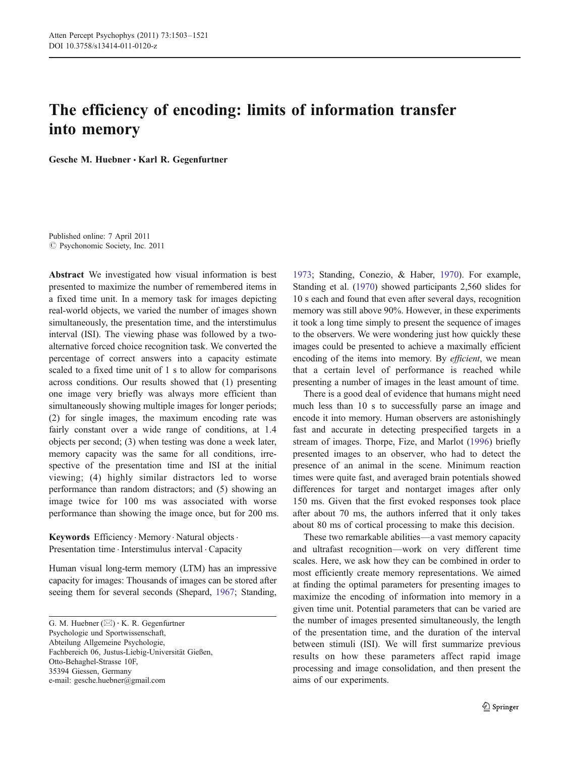# The efficiency of encoding: limits of information transfer into memory

Gesche M. Huebner · Karl R. Gegenfurtner

Published online: 7 April 2011  $\circledcirc$  Psychonomic Society, Inc. 2011

Abstract We investigated how visual information is best presented to maximize the number of remembered items in a fixed time unit. In a memory task for images depicting real-world objects, we varied the number of images shown simultaneously, the presentation time, and the interstimulus interval (ISI). The viewing phase was followed by a twoalternative forced choice recognition task. We converted the percentage of correct answers into a capacity estimate scaled to a fixed time unit of 1 s to allow for comparisons across conditions. Our results showed that (1) presenting one image very briefly was always more efficient than simultaneously showing multiple images for longer periods; (2) for single images, the maximum encoding rate was fairly constant over a wide range of conditions, at 1.4 objects per second; (3) when testing was done a week later, memory capacity was the same for all conditions, irrespective of the presentation time and ISI at the initial viewing; (4) highly similar distractors led to worse performance than random distractors; and (5) showing an image twice for 100 ms was associated with worse performance than showing the image once, but for 200 ms.

Keywords Efficiency. Memory. Natural objects . Presentation time . Interstimulus interval . Capacity

Human visual long-term memory (LTM) has an impressive capacity for images: Thousands of images can be stored after seeing them for several seconds (Shepard, [1967;](#page-18-0) Standing,

G. M. Huebner  $(\boxtimes) \cdot K$ . R. Gegenfurtner

Psychologie und Sportwissenschaft,

Abteilung Allgemeine Psychologie,

Fachbereich 06, Justus-Liebig-Universität Gießen,

Otto-Behaghel-Strasse 10F,

35394 Giessen, Germany e-mail: gesche.huebner@gmail.com

[1973;](#page-18-0) Standing, Conezio, & Haber, [1970](#page-18-0)). For example, Standing et al. ([1970](#page-18-0)) showed participants 2,560 slides for 10 s each and found that even after several days, recognition memory was still above 90%. However, in these experiments it took a long time simply to present the sequence of images to the observers. We were wondering just how quickly these images could be presented to achieve a maximally efficient encoding of the items into memory. By *efficient*, we mean that a certain level of performance is reached while presenting a number of images in the least amount of time.

There is a good deal of evidence that humans might need much less than 10 s to successfully parse an image and encode it into memory. Human observers are astonishingly fast and accurate in detecting prespecified targets in a stream of images. Thorpe, Fize, and Marlot [\(1996](#page-18-0)) briefly presented images to an observer, who had to detect the presence of an animal in the scene. Minimum reaction times were quite fast, and averaged brain potentials showed differences for target and nontarget images after only 150 ms. Given that the first evoked responses took place after about 70 ms, the authors inferred that it only takes about 80 ms of cortical processing to make this decision.

These two remarkable abilities—a vast memory capacity and ultrafast recognition—work on very different time scales. Here, we ask how they can be combined in order to most efficiently create memory representations. We aimed at finding the optimal parameters for presenting images to maximize the encoding of information into memory in a given time unit. Potential parameters that can be varied are the number of images presented simultaneously, the length of the presentation time, and the duration of the interval between stimuli (ISI). We will first summarize previous results on how these parameters affect rapid image processing and image consolidation, and then present the aims of our experiments.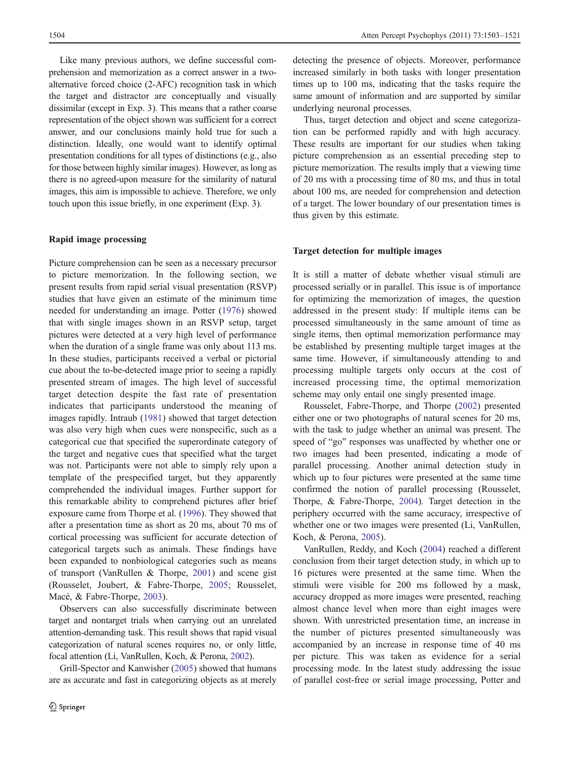Like many previous authors, we define successful comprehension and memorization as a correct answer in a twoalternative forced choice (2-AFC) recognition task in which the target and distractor are conceptually and visually dissimilar (except in Exp. 3). This means that a rather coarse representation of the object shown was sufficient for a correct answer, and our conclusions mainly hold true for such a distinction. Ideally, one would want to identify optimal presentation conditions for all types of distinctions (e.g., also for those between highly similar images). However, as long as there is no agreed-upon measure for the similarity of natural images, this aim is impossible to achieve. Therefore, we only touch upon this issue briefly, in one experiment (Exp. 3).

# Rapid image processing

Picture comprehension can be seen as a necessary precursor to picture memorization. In the following section, we present results from rapid serial visual presentation (RSVP) studies that have given an estimate of the minimum time needed for understanding an image. Potter ([1976\)](#page-18-0) showed that with single images shown in an RSVP setup, target pictures were detected at a very high level of performance when the duration of a single frame was only about 113 ms. In these studies, participants received a verbal or pictorial cue about the to-be-detected image prior to seeing a rapidly presented stream of images. The high level of successful target detection despite the fast rate of presentation indicates that participants understood the meaning of images rapidly. Intraub ([1981\)](#page-18-0) showed that target detection was also very high when cues were nonspecific, such as a categorical cue that specified the superordinate category of the target and negative cues that specified what the target was not. Participants were not able to simply rely upon a template of the prespecified target, but they apparently comprehended the individual images. Further support for this remarkable ability to comprehend pictures after brief exposure came from Thorpe et al. [\(1996](#page-18-0)). They showed that after a presentation time as short as 20 ms, about 70 ms of cortical processing was sufficient for accurate detection of categorical targets such as animals. These findings have been expanded to nonbiological categories such as means of transport (VanRullen & Thorpe, [2001](#page-18-0)) and scene gist (Rousselet, Joubert, & Fabre-Thorpe, [2005;](#page-18-0) Rousselet, Macé, & Fabre-Thorpe, [2003\)](#page-18-0).

Observers can also successfully discriminate between target and nontarget trials when carrying out an unrelated attention-demanding task. This result shows that rapid visual categorization of natural scenes requires no, or only little, focal attention (Li, VanRullen, Koch, & Perona, [2002](#page-18-0)).

Grill-Spector and Kanwisher [\(2005](#page-18-0)) showed that humans are as accurate and fast in categorizing objects as at merely detecting the presence of objects. Moreover, performance increased similarly in both tasks with longer presentation times up to 100 ms, indicating that the tasks require the same amount of information and are supported by similar underlying neuronal processes.

Thus, target detection and object and scene categorization can be performed rapidly and with high accuracy. These results are important for our studies when taking picture comprehension as an essential preceding step to picture memorization. The results imply that a viewing time of 20 ms with a processing time of 80 ms, and thus in total about 100 ms, are needed for comprehension and detection of a target. The lower boundary of our presentation times is thus given by this estimate.

#### Target detection for multiple images

It is still a matter of debate whether visual stimuli are processed serially or in parallel. This issue is of importance for optimizing the memorization of images, the question addressed in the present study: If multiple items can be processed simultaneously in the same amount of time as single items, then optimal memorization performance may be established by presenting multiple target images at the same time. However, if simultaneously attending to and processing multiple targets only occurs at the cost of increased processing time, the optimal memorization scheme may only entail one singly presented image.

Rousselet, Fabre-Thorpe, and Thorpe ([2002\)](#page-18-0) presented either one or two photographs of natural scenes for 20 ms, with the task to judge whether an animal was present. The speed of "go" responses was unaffected by whether one or two images had been presented, indicating a mode of parallel processing. Another animal detection study in which up to four pictures were presented at the same time confirmed the notion of parallel processing (Rousselet, Thorpe, & Fabre-Thorpe, [2004](#page-18-0)). Target detection in the periphery occurred with the same accuracy, irrespective of whether one or two images were presented (Li, VanRullen, Koch, & Perona, [2005\)](#page-18-0).

VanRullen, Reddy, and Koch [\(2004](#page-18-0)) reached a different conclusion from their target detection study, in which up to 16 pictures were presented at the same time. When the stimuli were visible for 200 ms followed by a mask, accuracy dropped as more images were presented, reaching almost chance level when more than eight images were shown. With unrestricted presentation time, an increase in the number of pictures presented simultaneously was accompanied by an increase in response time of 40 ms per picture. This was taken as evidence for a serial processing mode. In the latest study addressing the issue of parallel cost-free or serial image processing, Potter and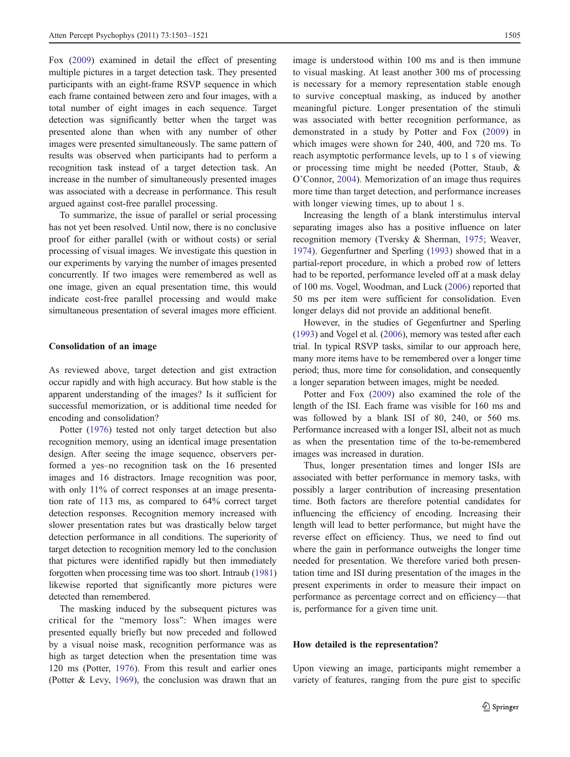Fox [\(2009](#page-18-0)) examined in detail the effect of presenting multiple pictures in a target detection task. They presented participants with an eight-frame RSVP sequence in which each frame contained between zero and four images, with a total number of eight images in each sequence. Target detection was significantly better when the target was presented alone than when with any number of other images were presented simultaneously. The same pattern of results was observed when participants had to perform a recognition task instead of a target detection task. An increase in the number of simultaneously presented images was associated with a decrease in performance. This result argued against cost-free parallel processing.

To summarize, the issue of parallel or serial processing has not yet been resolved. Until now, there is no conclusive proof for either parallel (with or without costs) or serial processing of visual images. We investigate this question in our experiments by varying the number of images presented concurrently. If two images were remembered as well as one image, given an equal presentation time, this would indicate cost-free parallel processing and would make simultaneous presentation of several images more efficient.

# Consolidation of an image

As reviewed above, target detection and gist extraction occur rapidly and with high accuracy. But how stable is the apparent understanding of the images? Is it sufficient for successful memorization, or is additional time needed for encoding and consolidation?

Potter ([1976\)](#page-18-0) tested not only target detection but also recognition memory, using an identical image presentation design. After seeing the image sequence, observers performed a yes–no recognition task on the 16 presented images and 16 distractors. Image recognition was poor, with only 11% of correct responses at an image presentation rate of 113 ms, as compared to 64% correct target detection responses. Recognition memory increased with slower presentation rates but was drastically below target detection performance in all conditions. The superiority of target detection to recognition memory led to the conclusion that pictures were identified rapidly but then immediately forgotten when processing time was too short. Intraub [\(1981\)](#page-18-0) likewise reported that significantly more pictures were detected than remembered.

The masking induced by the subsequent pictures was critical for the "memory loss": When images were presented equally briefly but now preceded and followed by a visual noise mask, recognition performance was as high as target detection when the presentation time was 120 ms (Potter, [1976](#page-18-0)). From this result and earlier ones (Potter & Levy, [1969\)](#page-18-0), the conclusion was drawn that an image is understood within 100 ms and is then immune to visual masking. At least another 300 ms of processing is necessary for a memory representation stable enough to survive conceptual masking, as induced by another meaningful picture. Longer presentation of the stimuli was associated with better recognition performance, as demonstrated in a study by Potter and Fox ([2009](#page-18-0)) in which images were shown for 240, 400, and 720 ms. To reach asymptotic performance levels, up to 1 s of viewing or processing time might be needed (Potter, Staub, & O'Connor, [2004\)](#page-18-0). Memorization of an image thus requires more time than target detection, and performance increases with longer viewing times, up to about 1 s.

Increasing the length of a blank interstimulus interval separating images also has a positive influence on later recognition memory (Tversky & Sherman, [1975](#page-18-0); Weaver, [1974](#page-18-0)). Gegenfurtner and Sperling ([1993\)](#page-18-0) showed that in a partial-report procedure, in which a probed row of letters had to be reported, performance leveled off at a mask delay of 100 ms. Vogel, Woodman, and Luck [\(2006](#page-18-0)) reported that 50 ms per item were sufficient for consolidation. Even longer delays did not provide an additional benefit.

However, in the studies of Gegenfurtner and Sperling [\(1993\)](#page-18-0) and Vogel et al. ([2006](#page-18-0)), memory was tested after each trial. In typical RSVP tasks, similar to our approach here, many more items have to be remembered over a longer time period; thus, more time for consolidation, and consequently a longer separation between images, might be needed.

Potter and Fox [\(2009](#page-18-0)) also examined the role of the length of the ISI. Each frame was visible for 160 ms and was followed by a blank ISI of 80, 240, or 560 ms. Performance increased with a longer ISI, albeit not as much as when the presentation time of the to-be-remembered images was increased in duration.

Thus, longer presentation times and longer ISIs are associated with better performance in memory tasks, with possibly a larger contribution of increasing presentation time. Both factors are therefore potential candidates for influencing the efficiency of encoding. Increasing their length will lead to better performance, but might have the reverse effect on efficiency. Thus, we need to find out where the gain in performance outweighs the longer time needed for presentation. We therefore varied both presentation time and ISI during presentation of the images in the present experiments in order to measure their impact on performance as percentage correct and on efficiency—that is, performance for a given time unit.

#### How detailed is the representation?

Upon viewing an image, participants might remember a variety of features, ranging from the pure gist to specific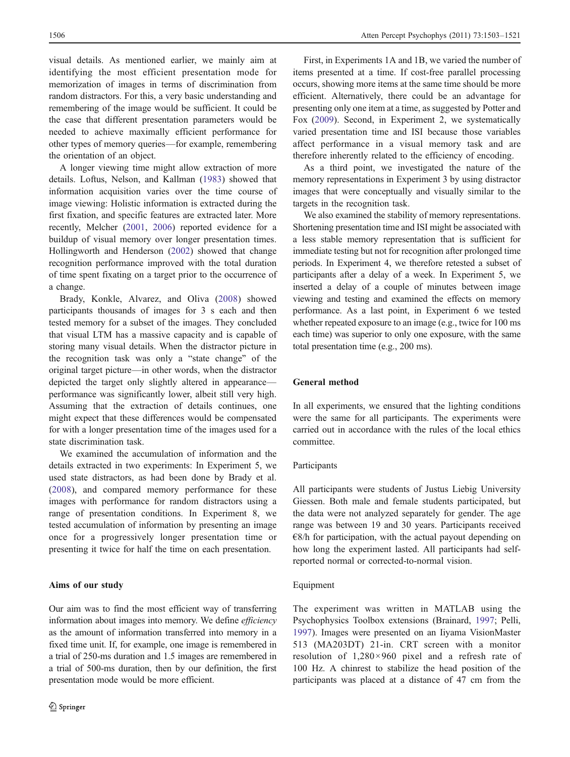visual details. As mentioned earlier, we mainly aim at identifying the most efficient presentation mode for memorization of images in terms of discrimination from random distractors. For this, a very basic understanding and remembering of the image would be sufficient. It could be the case that different presentation parameters would be needed to achieve maximally efficient performance for other types of memory queries—for example, remembering the orientation of an object.

A longer viewing time might allow extraction of more details. Loftus, Nelson, and Kallman ([1983\)](#page-18-0) showed that information acquisition varies over the time course of image viewing: Holistic information is extracted during the first fixation, and specific features are extracted later. More recently, Melcher ([2001,](#page-18-0) [2006\)](#page-18-0) reported evidence for a buildup of visual memory over longer presentation times. Hollingworth and Henderson ([2002\)](#page-18-0) showed that change recognition performance improved with the total duration of time spent fixating on a target prior to the occurrence of a change.

Brady, Konkle, Alvarez, and Oliva [\(2008\)](#page-17-0) showed participants thousands of images for 3 s each and then tested memory for a subset of the images. They concluded that visual LTM has a massive capacity and is capable of storing many visual details. When the distractor picture in the recognition task was only a "state change" of the original target picture—in other words, when the distractor depicted the target only slightly altered in appearance performance was significantly lower, albeit still very high. Assuming that the extraction of details continues, one might expect that these differences would be compensated for with a longer presentation time of the images used for a state discrimination task.

We examined the accumulation of information and the details extracted in two experiments: In Experiment 5, we used state distractors, as had been done by Brady et al. [\(2008\)](#page-17-0), and compared memory performance for these images with performance for random distractors using a range of presentation conditions. In Experiment 8, we tested accumulation of information by presenting an image once for a progressively longer presentation time or presenting it twice for half the time on each presentation.

#### Aims of our study

Our aim was to find the most efficient way of transferring information about images into memory. We define efficiency as the amount of information transferred into memory in a fixed time unit. If, for example, one image is remembered in a trial of 250-ms duration and 1.5 images are remembered in a trial of 500-ms duration, then by our definition, the first presentation mode would be more efficient.

First, in Experiments 1A and 1B, we varied the number of items presented at a time. If cost-free parallel processing occurs, showing more items at the same time should be more efficient. Alternatively, there could be an advantage for presenting only one item at a time, as suggested by Potter and Fox [\(2009](#page-18-0)). Second, in Experiment 2, we systematically varied presentation time and ISI because those variables affect performance in a visual memory task and are therefore inherently related to the efficiency of encoding.

As a third point, we investigated the nature of the memory representations in Experiment 3 by using distractor images that were conceptually and visually similar to the targets in the recognition task.

We also examined the stability of memory representations. Shortening presentation time and ISI might be associated with a less stable memory representation that is sufficient for immediate testing but not for recognition after prolonged time periods. In Experiment 4, we therefore retested a subset of participants after a delay of a week. In Experiment 5, we inserted a delay of a couple of minutes between image viewing and testing and examined the effects on memory performance. As a last point, in Experiment 6 we tested whether repeated exposure to an image (e.g., twice for 100 ms each time) was superior to only one exposure, with the same total presentation time (e.g., 200 ms).

# General method

In all experiments, we ensured that the lighting conditions were the same for all participants. The experiments were carried out in accordance with the rules of the local ethics committee.

#### Participants

All participants were students of Justus Liebig University Giessen. Both male and female students participated, but the data were not analyzed separately for gender. The age range was between 19 and 30 years. Participants received  $E8/h$  for participation, with the actual payout depending on how long the experiment lasted. All participants had selfreported normal or corrected-to-normal vision.

#### Equipment

The experiment was written in MATLAB using the Psychophysics Toolbox extensions (Brainard, [1997;](#page-17-0) Pelli, [1997](#page-18-0)). Images were presented on an Iiyama VisionMaster 513 (MA203DT) 21-in. CRT screen with a monitor resolution of 1,280×960 pixel and a refresh rate of 100 Hz. A chinrest to stabilize the head position of the participants was placed at a distance of 47 cm from the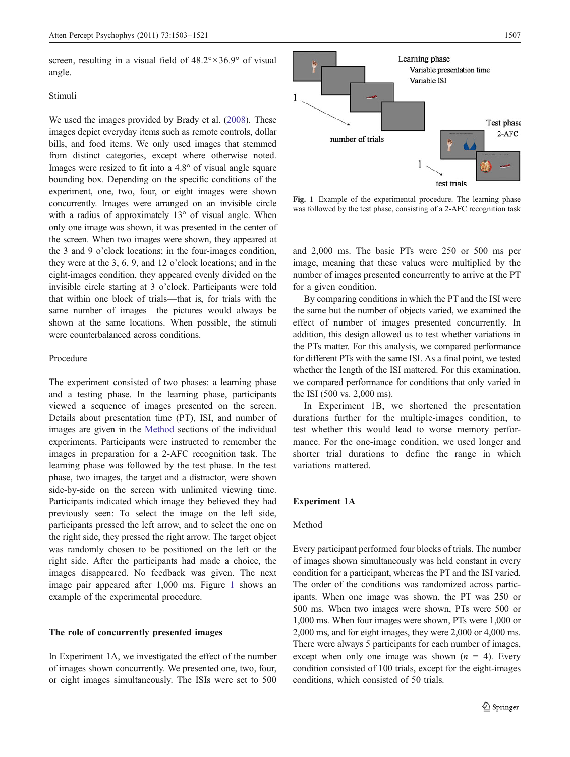screen, resulting in a visual field of  $48.2^{\circ} \times 36.9^{\circ}$  of visual angle.

### Stimuli

We used the images provided by Brady et al. [\(2008\)](#page-17-0). These images depict everyday items such as remote controls, dollar bills, and food items. We only used images that stemmed from distinct categories, except where otherwise noted. Images were resized to fit into a 4.8° of visual angle square bounding box. Depending on the specific conditions of the experiment, one, two, four, or eight images were shown concurrently. Images were arranged on an invisible circle with a radius of approximately 13° of visual angle. When only one image was shown, it was presented in the center of the screen. When two images were shown, they appeared at the 3 and 9 o'clock locations; in the four-images condition, they were at the 3, 6, 9, and 12 o'clock locations; and in the eight-images condition, they appeared evenly divided on the invisible circle starting at 3 o'clock. Participants were told that within one block of trials—that is, for trials with the same number of images—the pictures would always be shown at the same locations. When possible, the stimuli were counterbalanced across conditions.

# Procedure

The experiment consisted of two phases: a learning phase and a testing phase. In the learning phase, participants viewed a sequence of images presented on the screen. Details about presentation time (PT), ISI, and number of images are given in the [Method](#page-4-0) sections of the individual experiments. Participants were instructed to remember the images in preparation for a 2-AFC recognition task. The learning phase was followed by the test phase. In the test phase, two images, the target and a distractor, were shown side-by-side on the screen with unlimited viewing time. Participants indicated which image they believed they had previously seen: To select the image on the left side, participants pressed the left arrow, and to select the one on the right side, they pressed the right arrow. The target object was randomly chosen to be positioned on the left or the right side. After the participants had made a choice, the images disappeared. No feedback was given. The next image pair appeared after 1,000 ms. Figure [1](#page-4-0) shows an example of the experimental procedure.

## The role of concurrently presented images

<span id="page-4-0"></span>In Experiment 1A, we investigated the effect of the number of images shown concurrently. We presented one, two, four, or eight images simultaneously. The ISIs were set to 500



Fig. 1 Example of the experimental procedure. The learning phase was followed by the test phase, consisting of a 2-AFC recognition task

and 2,000 ms. The basic PTs were 250 or 500 ms per image, meaning that these values were multiplied by the number of images presented concurrently to arrive at the PT for a given condition.

By comparing conditions in which the PT and the ISI were the same but the number of objects varied, we examined the effect of number of images presented concurrently. In addition, this design allowed us to test whether variations in the PTs matter. For this analysis, we compared performance for different PTs with the same ISI. As a final point, we tested whether the length of the ISI mattered. For this examination, we compared performance for conditions that only varied in the ISI (500 vs. 2,000 ms).

In Experiment 1B, we shortened the presentation durations further for the multiple-images condition, to test whether this would lead to worse memory performance. For the one-image condition, we used longer and shorter trial durations to define the range in which variations mattered.

# Experiment 1A

# Method

Every participant performed four blocks of trials. The number of images shown simultaneously was held constant in every condition for a participant, whereas the PT and the ISI varied. The order of the conditions was randomized across participants. When one image was shown, the PT was 250 or 500 ms. When two images were shown, PTs were 500 or 1,000 ms. When four images were shown, PTs were 1,000 or 2,000 ms, and for eight images, they were 2,000 or 4,000 ms. There were always 5 participants for each number of images, except when only one image was shown  $(n = 4)$ . Every condition consisted of 100 trials, except for the eight-images conditions, which consisted of 50 trials.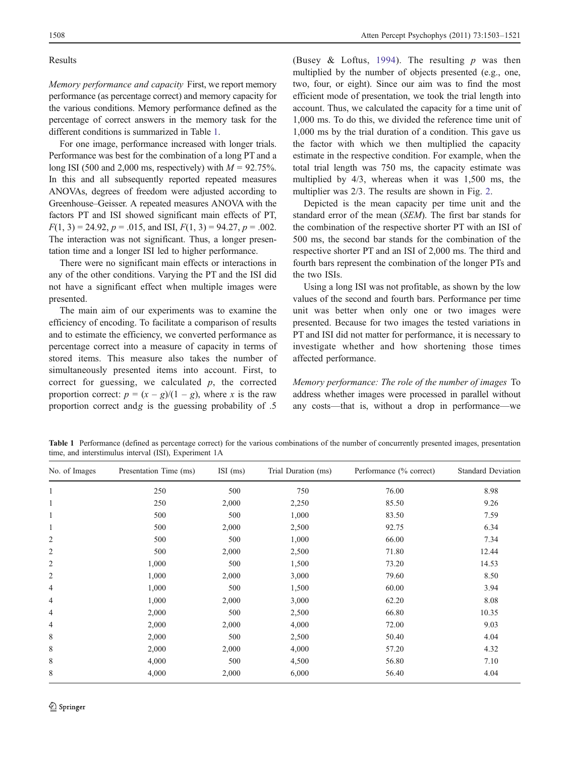# Results

Memory performance and capacity First, we report memory performance (as percentage correct) and memory capacity for the various conditions. Memory performance defined as the percentage of correct answers in the memory task for the different conditions is summarized in Table [1.](#page-5-0)

For one image, performance increased with longer trials. Performance was best for the combination of a long PT and a long ISI (500 and 2,000 ms, respectively) with  $M = 92.75\%$ . In this and all subsequently reported repeated measures ANOVAs, degrees of freedom were adjusted according to Greenhouse–Geisser. A repeated measures ANOVA with the factors PT and ISI showed significant main effects of PT,  $F(1, 3) = 24.92, p = .015, \text{ and ISI}, F(1, 3) = 94.27, p = .002.$ The interaction was not significant. Thus, a longer presentation time and a longer ISI led to higher performance.

There were no significant main effects or interactions in any of the other conditions. Varying the PT and the ISI did not have a significant effect when multiple images were presented.

The main aim of our experiments was to examine the efficiency of encoding. To facilitate a comparison of results and to estimate the efficiency, we converted performance as percentage correct into a measure of capacity in terms of stored items. This measure also takes the number of simultaneously presented items into account. First, to correct for guessing, we calculated  $p$ , the corrected proportion correct:  $p = (x - g)/(1 - g)$ , where x is the raw proportion correct andg is the guessing probability of .5

(Busey & Loftus, [1994\)](#page-17-0). The resulting  $p$  was then multiplied by the number of objects presented (e.g., one, two, four, or eight). Since our aim was to find the most efficient mode of presentation, we took the trial length into account. Thus, we calculated the capacity for a time unit of 1,000 ms. To do this, we divided the reference time unit of 1,000 ms by the trial duration of a condition. This gave us the factor with which we then multiplied the capacity estimate in the respective condition. For example, when the total trial length was 750 ms, the capacity estimate was multiplied by 4/3, whereas when it was 1,500 ms, the multiplier was 2/3. The results are shown in Fig. [2.](#page-6-0)

Depicted is the mean capacity per time unit and the standard error of the mean (SEM). The first bar stands for the combination of the respective shorter PT with an ISI of 500 ms, the second bar stands for the combination of the respective shorter PT and an ISI of 2,000 ms. The third and fourth bars represent the combination of the longer PTs and the two ISIs.

Using a long ISI was not profitable, as shown by the low values of the second and fourth bars. Performance per time unit was better when only one or two images were presented. Because for two images the tested variations in PT and ISI did not matter for performance, it is necessary to investigate whether and how shortening those times affected performance.

Memory performance: The role of the number of images To address whether images were processed in parallel without any costs—that is, without a drop in performance—we

Table 1 Performance (defined as percentage correct) for the various combinations of the number of concurrently presented images, presentation time, and interstimulus interval (ISI), Experiment 1A

<span id="page-5-0"></span>

| No. of Images  | Presentation Time (ms) | ISI (ms) | Trial Duration (ms) | Performance (% correct) | <b>Standard Deviation</b> |
|----------------|------------------------|----------|---------------------|-------------------------|---------------------------|
| $\mathbf{1}$   | 250                    | 500      | 750                 | 76.00                   | 8.98                      |
| 1              | 250                    | 2,000    | 2,250               | 85.50                   | 9.26                      |
| 1              | 500                    | 500      | 1,000               | 83.50                   | 7.59                      |
| 1              | 500                    | 2,000    | 2,500               | 92.75                   | 6.34                      |
| $\overline{c}$ | 500                    | 500      | 1,000               | 66.00                   | 7.34                      |
| 2              | 500                    | 2,000    | 2,500               | 71.80                   | 12.44                     |
| 2              | 1,000                  | 500      | 1,500               | 73.20                   | 14.53                     |
| $\overline{2}$ | 1,000                  | 2,000    | 3,000               | 79.60                   | 8.50                      |
| 4              | 1,000                  | 500      | 1,500               | 60.00                   | 3.94                      |
| 4              | 1,000                  | 2,000    | 3,000               | 62.20                   | 8.08                      |
| 4              | 2,000                  | 500      | 2,500               | 66.80                   | 10.35                     |
| 4              | 2,000                  | 2,000    | 4,000               | 72.00                   | 9.03                      |
| 8              | 2,000                  | 500      | 2,500               | 50.40                   | 4.04                      |
| 8              | 2,000                  | 2,000    | 4,000               | 57.20                   | 4.32                      |
| 8              | 4,000                  | 500      | 4,500               | 56.80                   | 7.10                      |
| 8              | 4,000                  | 2,000    | 6,000               | 56.40                   | 4.04                      |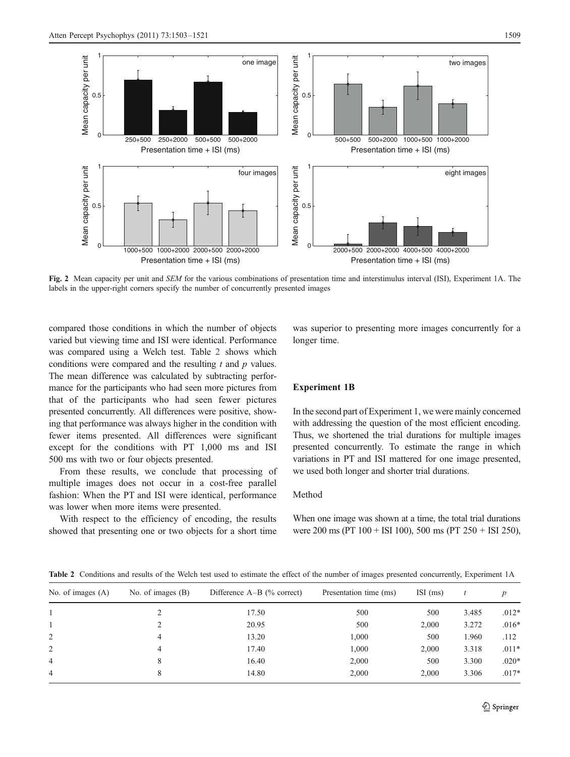

Fig. 2 Mean capacity per unit and SEM for the various combinations of presentation time and interstimulus interval (ISI), Experiment 1A. The labels in the upper-right corners specify the number of concurrently presented images

compared those conditions in which the number of objects varied but viewing time and ISI were identical. Performance was compared using a Welch test. Table [2](#page-6-0) shows which conditions were compared and the resulting  $t$  and  $p$  values. The mean difference was calculated by subtracting performance for the participants who had seen more pictures from that of the participants who had seen fewer pictures presented concurrently. All differences were positive, showing that performance was always higher in the condition with fewer items presented. All differences were significant except for the conditions with PT 1,000 ms and ISI 500 ms with two or four objects presented.

From these results, we conclude that processing of multiple images does not occur in a cost-free parallel fashion: When the PT and ISI were identical, performance was lower when more items were presented.

With respect to the efficiency of encoding, the results showed that presenting one or two objects for a short time was superior to presenting more images concurrently for a longer time.

## Experiment 1B

In the second part of Experiment 1, we were mainly concerned with addressing the question of the most efficient encoding. Thus, we shortened the trial durations for multiple images presented concurrently. To estimate the range in which variations in PT and ISI mattered for one image presented, we used both longer and shorter trial durations.

# Method

When one image was shown at a time, the total trial durations were 200 ms (PT 100 + ISI 100), 500 ms (PT 250 + ISI 250),

<span id="page-6-0"></span>

| No. of images $(A)$ | No. of images $(B)$ | Difference $A-B$ (% correct) | Presentation time (ms) | ISI $(ms)$ |       |         |  |
|---------------------|---------------------|------------------------------|------------------------|------------|-------|---------|--|
|                     |                     | 17.50                        | 500                    | 500        | 3.485 | $.012*$ |  |
|                     |                     | 20.95                        | 500                    | 2,000      | 3.272 | $.016*$ |  |
| 2                   | 4                   | 13.20                        | 1,000                  | 500        | 1.960 | .112    |  |
| 2                   | 4                   | 17.40                        | 1,000                  | 2,000      | 3.318 | $.011*$ |  |
| 4                   | 8                   | 16.40                        | 2,000                  | 500        | 3.300 | $.020*$ |  |
| 4                   | 8                   | 14.80                        | 2,000                  | 2,000      | 3.306 | $.017*$ |  |

Table 2 Conditions and results of the Welch test used to estimate the effect of the number of images presented concurrently, Experiment 1A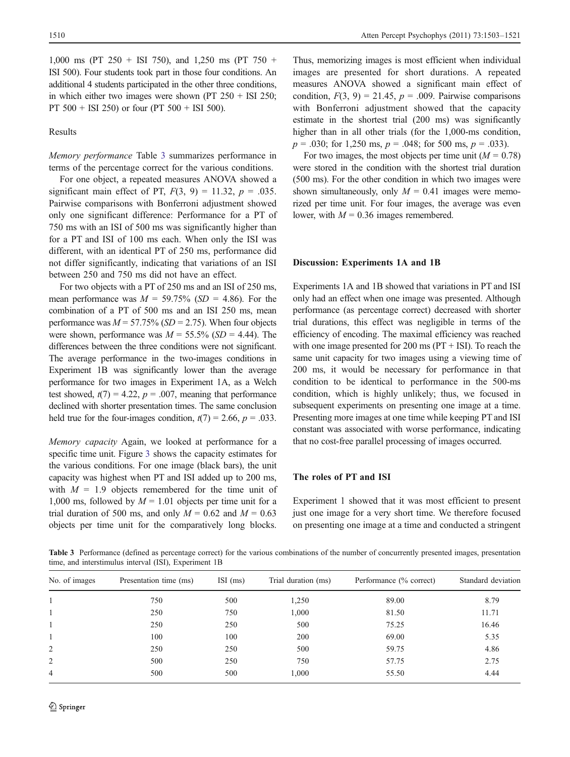1,000 ms (PT 250 + ISI 750), and 1,250 ms (PT 750 + ISI 500). Four students took part in those four conditions. An additional 4 students participated in the other three conditions, in which either two images were shown (PT  $250 + ISI$  250; PT 500 + ISI 250) or four (PT 500 + ISI 500).

# Results

Memory performance Table [3](#page-7-0) summarizes performance in terms of the percentage correct for the various conditions.

For one object, a repeated measures ANOVA showed a significant main effect of PT,  $F(3, 9) = 11.32$ ,  $p = .035$ . Pairwise comparisons with Bonferroni adjustment showed only one significant difference: Performance for a PT of 750 ms with an ISI of 500 ms was significantly higher than for a PT and ISI of 100 ms each. When only the ISI was different, with an identical PT of 250 ms, performance did not differ significantly, indicating that variations of an ISI between 250 and 750 ms did not have an effect.

For two objects with a PT of 250 ms and an ISI of 250 ms, mean performance was  $M = 59.75\%$  (SD = 4.86). For the combination of a PT of 500 ms and an ISI 250 ms, mean performance was  $M = 57.75\%$  (SD = 2.75). When four objects were shown, performance was  $M = 55.5\%$  (SD = 4.44). The differences between the three conditions were not significant. The average performance in the two-images conditions in Experiment 1B was significantly lower than the average performance for two images in Experiment 1A, as a Welch test showed,  $t(7) = 4.22$ ,  $p = .007$ , meaning that performance declined with shorter presentation times. The same conclusion held true for the four-images condition,  $t(7) = 2.66$ ,  $p = .033$ .

Memory capacity Again, we looked at performance for a specific time unit. Figure [3](#page-8-0) shows the capacity estimates for the various conditions. For one image (black bars), the unit capacity was highest when PT and ISI added up to 200 ms, with  $M = 1.9$  objects remembered for the time unit of 1,000 ms, followed by  $M = 1.01$  objects per time unit for a trial duration of 500 ms, and only  $M = 0.62$  and  $M = 0.63$ objects per time unit for the comparatively long blocks.

Thus, memorizing images is most efficient when individual images are presented for short durations. A repeated measures ANOVA showed a significant main effect of condition,  $F(3, 9) = 21.45$ ,  $p = .009$ . Pairwise comparisons with Bonferroni adjustment showed that the capacity estimate in the shortest trial (200 ms) was significantly higher than in all other trials (for the 1,000-ms condition,  $p = .030$ ; for 1,250 ms,  $p = .048$ ; for 500 ms,  $p = .033$ ).

For two images, the most objects per time unit  $(M = 0.78)$ were stored in the condition with the shortest trial duration (500 ms). For the other condition in which two images were shown simultaneously, only  $M = 0.41$  images were memorized per time unit. For four images, the average was even lower, with  $M = 0.36$  images remembered.

# Discussion: Experiments 1A and 1B

Experiments 1A and 1B showed that variations in PT and ISI only had an effect when one image was presented. Although performance (as percentage correct) decreased with shorter trial durations, this effect was negligible in terms of the efficiency of encoding. The maximal efficiency was reached with one image presented for 200 ms  $(PT + ISI)$ . To reach the same unit capacity for two images using a viewing time of 200 ms, it would be necessary for performance in that condition to be identical to performance in the 500-ms condition, which is highly unlikely; thus, we focused in subsequent experiments on presenting one image at a time. Presenting more images at one time while keeping PT and ISI constant was associated with worse performance, indicating that no cost-free parallel processing of images occurred.

# The roles of PT and ISI

Experiment 1 showed that it was most efficient to present just one image for a very short time. We therefore focused on presenting one image at a time and conducted a stringent

Table 3 Performance (defined as percentage correct) for the various combinations of the number of concurrently presented images, presentation time, and interstimulus interval (ISI), Experiment 1B

<span id="page-7-0"></span>

| No. of images  | Presentation time (ms) | ISI $(ms)$ | Trial duration (ms) | Performance (% correct) | Standard deviation |
|----------------|------------------------|------------|---------------------|-------------------------|--------------------|
|                | 750                    | 500        | 1,250               | 89.00                   | 8.79               |
|                | 250                    | 750        | 1,000               | 81.50                   | 11.71              |
|                | 250                    | 250        | 500                 | 75.25                   | 16.46              |
|                | 100                    | 100        | 200                 | 69.00                   | 5.35               |
| 2              | 250                    | 250        | 500                 | 59.75                   | 4.86               |
| 2              | 500                    | 250        | 750                 | 57.75                   | 2.75               |
| $\overline{4}$ | 500                    | 500        | 1,000               | 55.50                   | 4.44               |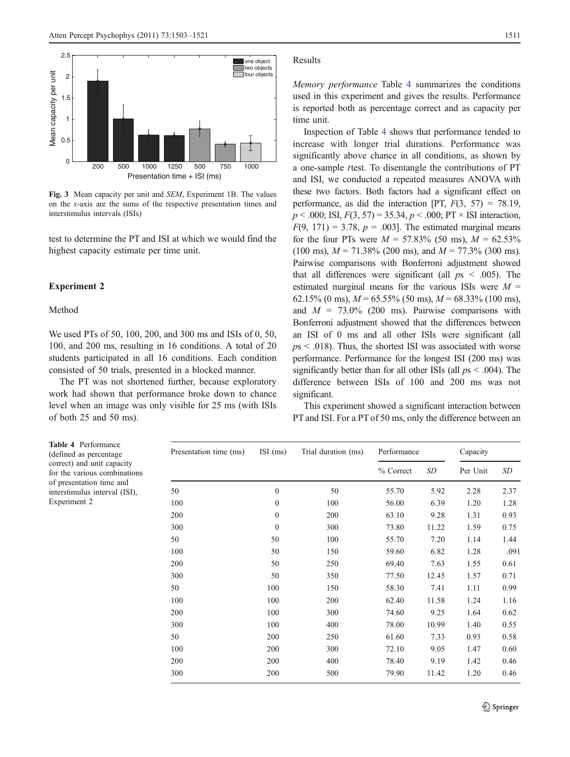

Fig. 3 Mean capacity per unit and SEM, Experiment 1B. The values on the x-axis are the sums of the respective presentation times and interstimulus intervals (ISIs)

test to determine the PT and ISI at which we would find the highest capacity estimate per time unit.

# Experiment 2

# Method

We used PTs of 50, 100, 200, and 300 ms and ISIs of 0, 50, 100, and 200 ms, resulting in 16 conditions. A total of 20 students participated in all 16 conditions. Each condition consisted of 50 trials, presented in a blocked manner.

The PT was not shortened further, because exploratory work had shown that performance broke down to chance level when an image was only visible for 25 ms (with ISIs of both 25 and 50 ms).

## Results

Memory performance Table [4](#page-8-0) summarizes the conditions used in this experiment and gives the results. Performance is reported both as percentage correct and as capacity per time unit.

Inspection of Table [4](#page-8-0) shows that performance tended to increase with longer trial durations. Performance was significantly above chance in all conditions, as shown by a one-sample ttest. To disentangle the contributions of PT and ISI, we conducted a repeated measures ANOVA with these two factors. Both factors had a significant effect on performance, as did the interaction [PT,  $F(3, 57) = 78.19$ ,  $p < .000$ ; ISI,  $F(3, 57) = 35.34, p < .000$ ; PT  $\times$  ISI interaction,  $F(9, 171) = 3.78$ ,  $p = .003$ . The estimated marginal means for the four PTs were  $M = 57.83\%$  (50 ms),  $M = 62.53\%$ (100 ms),  $M = 71.38\%$  (200 ms), and  $M = 77.3\%$  (300 ms). Pairwise comparisons with Bonferroni adjustment showed that all differences were significant (all  $ps < .005$ ). The estimated marginal means for the various ISIs were  $M =$ 62.15% (0 ms),  $M = 65.55\%$  (50 ms),  $M = 68.33\%$  (100 ms). and  $M = 73.0\%$  (200 ms). Pairwise comparisons with Bonferroni adjustment showed that the differences between an ISI of 0 ms and all other ISIs were significant (all  $ps < .018$ ). Thus, the shortest ISI was associated with worse performance. Performance for the longest ISI (200 ms) was significantly better than for all other ISIs (all  $ps < .004$ ). The difference between ISIs of 100 and 200 ms was not significant.

This experiment showed a significant interaction between PT and ISI. For a PT of 50 ms, only the difference between an

|     |              |     | $%$ Correct | SD    | Per Unit | SD   |
|-----|--------------|-----|-------------|-------|----------|------|
| 50  | $\mathbf{0}$ | 50  | 55.70       | 5.92  | 2.28     | 2.37 |
| 100 | $\mathbf{0}$ | 100 | 56.00       | 6.39  | 1.20     | 1.28 |
| 200 | $\mathbf{0}$ | 200 | 63.10       | 9.28  | 1.31     | 0.93 |
| 300 | $\theta$     | 300 | 73.80       | 11.22 | 1.59     | 0.75 |
| 50  | 50           | 100 | 55.70       | 7.20  | 1.14     | 1.44 |
| 100 | 50           | 150 | 59.60       | 6.82  | 1.28     | .091 |
| 200 | 50           | 250 | 69.40       | 7.63  | 1.55     | 0.61 |
| 300 | 50           | 350 | 77.50       | 12.45 | 1.57     | 0.71 |
| 50  | 100          | 150 | 58.30       | 7.41  | 1.11     | 0.99 |
| 100 | 100          | 200 | 62.40       | 11.58 | 1.24     | 1.16 |
| 200 | 100          | 300 | 74.60       | 9.25  | 1.64     | 0.62 |
| 300 | 100          | 400 | 78.00       | 10.99 | 1.40     | 0.55 |
| 50  | 200          | 250 | 61.60       | 7.33  | 0.93     | 0.58 |
| 100 | 200          | 300 | 72.10       | 9.05  | 1.47     | 0.60 |
| 200 | 200          | 400 | 78.40       | 9.19  | 1.42     | 0.46 |
| 300 | 200          | 500 | 79.90       | 11.42 | 1.20     | 0.46 |

<span id="page-8-0"></span>Table 4 Performance (defined as percentage correct) and unit capacity for the various combinations of presentation time and interstimulus interval (ISI), Experiment 2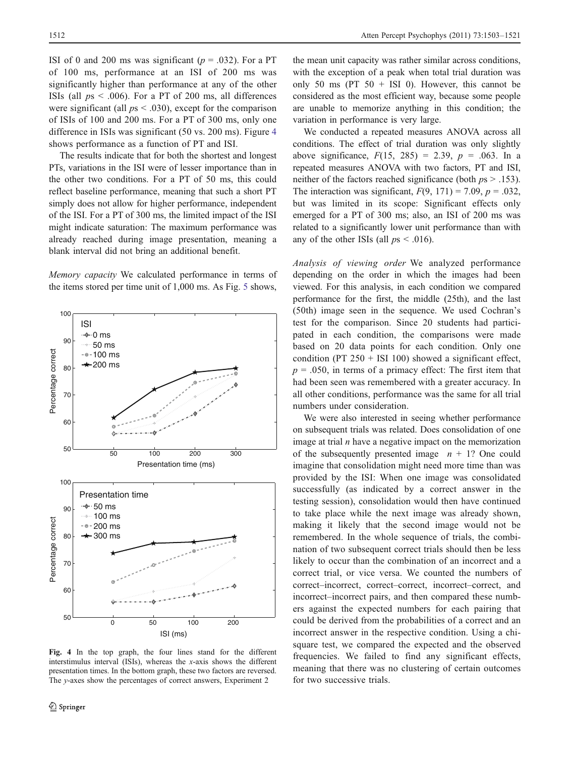ISI of 0 and 200 ms was significant ( $p = .032$ ). For a PT of 100 ms, performance at an ISI of 200 ms was significantly higher than performance at any of the other ISIs (all  $ps < .006$ ). For a PT of 200 ms, all differences were significant (all  $ps < .030$ ), except for the comparison of ISIs of 100 and 200 ms. For a PT of 300 ms, only one difference in ISIs was significant (50 vs. 200 ms). Figure [4](#page-9-0) shows performance as a function of PT and ISI.

The results indicate that for both the shortest and longest PTs, variations in the ISI were of lesser importance than in the other two conditions. For a PT of 50 ms, this could reflect baseline performance, meaning that such a short PT simply does not allow for higher performance, independent of the ISI. For a PT of 300 ms, the limited impact of the ISI might indicate saturation: The maximum performance was already reached during image presentation, meaning a blank interval did not bring an additional benefit.

Memory capacity We calculated performance in terms of the items stored per time unit of 1,000 ms. As Fig. [5](#page-10-0) shows,



<span id="page-9-0"></span>Fig. 4 In the top graph, the four lines stand for the different interstimulus interval (ISIs), whereas the  $x$ -axis shows the different presentation times. In the bottom graph, these two factors are reversed. The y-axes show the percentages of correct answers, Experiment 2

the mean unit capacity was rather similar across conditions, with the exception of a peak when total trial duration was only 50 ms (PT  $50 + ISI$  0). However, this cannot be considered as the most efficient way, because some people are unable to memorize anything in this condition; the variation in performance is very large.

We conducted a repeated measures ANOVA across all conditions. The effect of trial duration was only slightly above significance,  $F(15, 285) = 2.39$ ,  $p = .063$ . In a repeated measures ANOVA with two factors, PT and ISI, neither of the factors reached significance (both  $ps > .153$ ). The interaction was significant,  $F(9, 171) = 7.09$ ,  $p = .032$ , but was limited in its scope: Significant effects only emerged for a PT of 300 ms; also, an ISI of 200 ms was related to a significantly lower unit performance than with any of the other ISIs (all  $ps < .016$ ).

Analysis of viewing order We analyzed performance depending on the order in which the images had been viewed. For this analysis, in each condition we compared performance for the first, the middle (25th), and the last (50th) image seen in the sequence. We used Cochran's test for the comparison. Since 20 students had participated in each condition, the comparisons were made based on 20 data points for each condition. Only one condition (PT  $250 + ISI$  100) showed a significant effect,  $p = .050$ , in terms of a primacy effect: The first item that had been seen was remembered with a greater accuracy. In all other conditions, performance was the same for all trial numbers under consideration.

We were also interested in seeing whether performance on subsequent trials was related. Does consolidation of one image at trial  $n$  have a negative impact on the memorization of the subsequently presented image  $n + 1$ ? One could imagine that consolidation might need more time than was provided by the ISI: When one image was consolidated successfully (as indicated by a correct answer in the testing session), consolidation would then have continued to take place while the next image was already shown, making it likely that the second image would not be remembered. In the whole sequence of trials, the combination of two subsequent correct trials should then be less likely to occur than the combination of an incorrect and a correct trial, or vice versa. We counted the numbers of correct–incorrect, correct–correct, incorrect–correct, and incorrect–incorrect pairs, and then compared these numbers against the expected numbers for each pairing that could be derived from the probabilities of a correct and an incorrect answer in the respective condition. Using a chisquare test, we compared the expected and the observed frequencies. We failed to find any significant effects, meaning that there was no clustering of certain outcomes for two successive trials.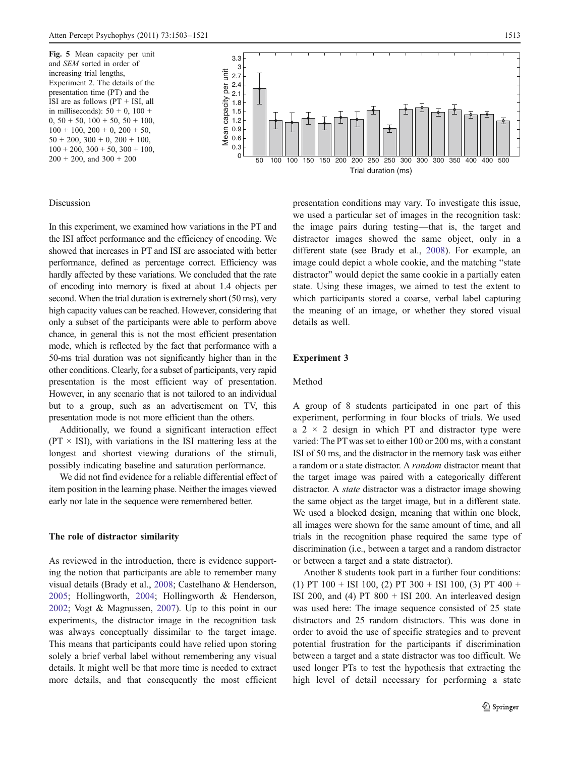

## Discussion

In this experiment, we examined how variations in the PT and the ISI affect performance and the efficiency of encoding. We showed that increases in PT and ISI are associated with better performance, defined as percentage correct. Efficiency was hardly affected by these variations. We concluded that the rate of encoding into memory is fixed at about 1.4 objects per second. When the trial duration is extremely short (50 ms), very high capacity values can be reached. However, considering that only a subset of the participants were able to perform above chance, in general this is not the most efficient presentation mode, which is reflected by the fact that performance with a 50-ms trial duration was not significantly higher than in the other conditions. Clearly, for a subset of participants, very rapid presentation is the most efficient way of presentation. However, in any scenario that is not tailored to an individual but to a group, such as an advertisement on TV, this presentation mode is not more efficient than the others.

Additionally, we found a significant interaction effect  $(PT \times ISI)$ , with variations in the ISI mattering less at the longest and shortest viewing durations of the stimuli, possibly indicating baseline and saturation performance.

We did not find evidence for a reliable differential effect of item position in the learning phase. Neither the images viewed early nor late in the sequence were remembered better.

#### The role of distractor similarity

<span id="page-10-0"></span>As reviewed in the introduction, there is evidence supporting the notion that participants are able to remember many visual details (Brady et al., [2008;](#page-17-0) Castelhano & Henderson, [2005;](#page-17-0) Hollingworth, [2004;](#page-18-0) Hollingworth & Henderson, [2002;](#page-18-0) Vogt & Magnussen, [2007\)](#page-18-0). Up to this point in our experiments, the distractor image in the recognition task was always conceptually dissimilar to the target image. This means that participants could have relied upon storing solely a brief verbal label without remembering any visual details. It might well be that more time is needed to extract more details, and that consequently the most efficient presentation conditions may vary. To investigate this issue, we used a particular set of images in the recognition task: the image pairs during testing—that is, the target and distractor images showed the same object, only in a different state (see Brady et al., [2008](#page-17-0)). For example, an image could depict a whole cookie, and the matching "state distractor" would depict the same cookie in a partially eaten state. Using these images, we aimed to test the extent to which participants stored a coarse, verbal label capturing the meaning of an image, or whether they stored visual details as well.

## Experiment 3

# Method

A group of 8 students participated in one part of this experiment, performing in four blocks of trials. We used a  $2 \times 2$  design in which PT and distractor type were varied: The PTwas set to either 100 or 200 ms, with a constant ISI of 50 ms, and the distractor in the memory task was either a random or a state distractor. A random distractor meant that the target image was paired with a categorically different distractor. A *state* distractor was a distractor image showing the same object as the target image, but in a different state. We used a blocked design, meaning that within one block, all images were shown for the same amount of time, and all trials in the recognition phase required the same type of discrimination (i.e., between a target and a random distractor or between a target and a state distractor).

Another 8 students took part in a further four conditions: (1) PT  $100 + ISI$   $100$ , (2) PT  $300 + ISI$   $100$ , (3) PT  $400 +$ ISI 200, and (4) PT  $800 +$  ISI 200. An interleaved design was used here: The image sequence consisted of 25 state distractors and 25 random distractors. This was done in order to avoid the use of specific strategies and to prevent potential frustration for the participants if discrimination between a target and a state distractor was too difficult. We used longer PTs to test the hypothesis that extracting the high level of detail necessary for performing a state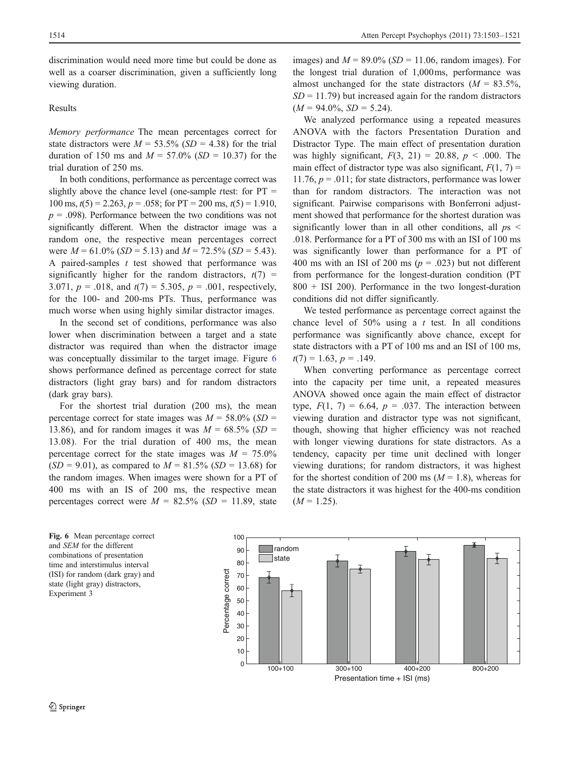discrimination would need more time but could be done as well as a coarser discrimination, given a sufficiently long viewing duration.

# Results

Memory performance The mean percentages correct for state distractors were  $M = 53.5\%$  (SD = 4.38) for the trial duration of 150 ms and  $M = 57.0\%$  (SD = 10.37) for the trial duration of 250 ms.

In both conditions, performance as percentage correct was slightly above the chance level (one-sample ttest: for  $PT =$  $100 \text{ ms}, t(5) = 2.263, p = .058$ ; for PT = 200 ms,  $t(5) = 1.910$ ,  $p = .098$ ). Performance between the two conditions was not significantly different. When the distractor image was a random one, the respective mean percentages correct were  $M = 61.0\%$  (SD = 5.13) and  $M = 72.5\%$  (SD = 5.43). A paired-samples  $t$  test showed that performance was significantly higher for the random distractors,  $t(7)$  = 3.071,  $p = .018$ , and  $t(7) = 5.305$ ,  $p = .001$ , respectively, for the 100- and 200-ms PTs. Thus, performance was much worse when using highly similar distractor images.

In the second set of conditions, performance was also lower when discrimination between a target and a state distractor was required than when the distractor image was conceptually dissimilar to the target image. Figure [6](#page-11-0) shows performance defined as percentage correct for state distractors (light gray bars) and for random distractors (dark gray bars).

For the shortest trial duration (200 ms), the mean percentage correct for state images was  $M = 58.0\%$  (SD = 13.86), and for random images it was  $M = 68.5\%$  (SD = 13.08). For the trial duration of 400 ms, the mean percentage correct for the state images was  $M = 75.0\%$  $(SD = 9.01)$ , as compared to  $M = 81.5\%$  (SD = 13.68) for the random images. When images were shown for a PT of 400 ms with an IS of 200 ms, the respective mean percentages correct were  $M = 82.5\%$  (SD = 11.89, state

images) and  $M = 89.0\%$  (SD = 11.06, random images). For the longest trial duration of 1,000ms, performance was almost unchanged for the state distractors  $(M = 83.5\%$ ,  $SD = 11.79$ ) but increased again for the random distractors  $(M = 94.0\%, SD = 5.24)$ .

We analyzed performance using a repeated measures ANOVA with the factors Presentation Duration and Distractor Type. The main effect of presentation duration was highly significant,  $F(3, 21) = 20.88$ ,  $p < .000$ . The main effect of distractor type was also significant,  $F(1, 7)$  = 11.76,  $p = .011$ ; for state distractors, performance was lower than for random distractors. The interaction was not significant. Pairwise comparisons with Bonferroni adjustment showed that performance for the shortest duration was significantly lower than in all other conditions, all  $ps <$ .018. Performance for a PT of 300 ms with an ISI of 100 ms was significantly lower than performance for a PT of 400 ms with an ISI of 200 ms ( $p = .023$ ) but not different from performance for the longest-duration condition (PT 800 + ISI 200). Performance in the two longest-duration conditions did not differ significantly.

We tested performance as percentage correct against the chance level of  $50\%$  using a t test. In all conditions performance was significantly above chance, except for state distractors with a PT of 100 ms and an ISI of 100 ms,  $t(7) = 1.63, p = .149.$ 

When converting performance as percentage correct into the capacity per time unit, a repeated measures ANOVA showed once again the main effect of distractor type,  $F(1, 7) = 6.64$ ,  $p = .037$ . The interaction between viewing duration and distractor type was not significant, though, showing that higher efficiency was not reached with longer viewing durations for state distractors. As a tendency, capacity per time unit declined with longer viewing durations; for random distractors, it was highest for the shortest condition of 200 ms ( $M = 1.8$ ), whereas for the state distractors it was highest for the 400-ms condition  $(M = 1.25)$ .

<span id="page-11-0"></span>Fig. 6 Mean percentage correct and SEM for the different combinations of presentation time and interstimulus interval (ISI) for random (dark gray) and state (light gray) distractors, Experiment 3

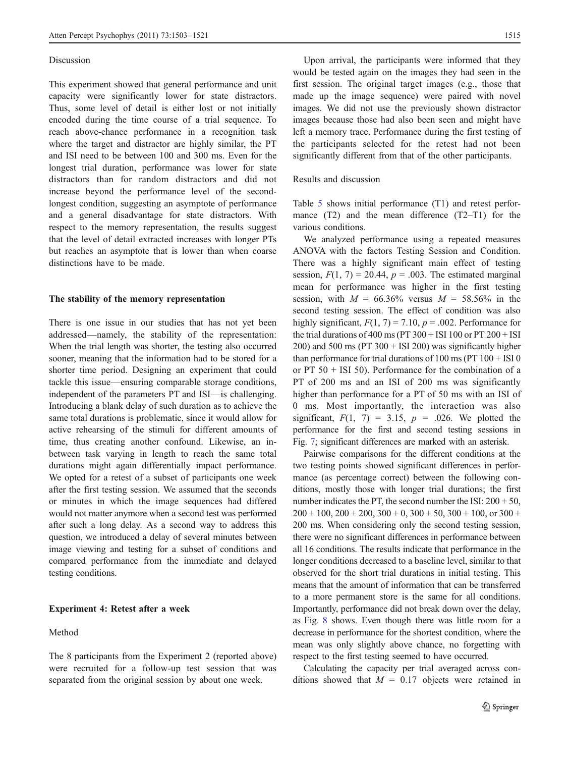#### Discussion

This experiment showed that general performance and unit capacity were significantly lower for state distractors. Thus, some level of detail is either lost or not initially encoded during the time course of a trial sequence. To reach above-chance performance in a recognition task where the target and distractor are highly similar, the PT and ISI need to be between 100 and 300 ms. Even for the longest trial duration, performance was lower for state distractors than for random distractors and did not increase beyond the performance level of the secondlongest condition, suggesting an asymptote of performance and a general disadvantage for state distractors. With respect to the memory representation, the results suggest that the level of detail extracted increases with longer PTs but reaches an asymptote that is lower than when coarse distinctions have to be made.

#### The stability of the memory representation

There is one issue in our studies that has not yet been addressed—namely, the stability of the representation: When the trial length was shorter, the testing also occurred sooner, meaning that the information had to be stored for a shorter time period. Designing an experiment that could tackle this issue—ensuring comparable storage conditions, independent of the parameters PT and ISI—is challenging. Introducing a blank delay of such duration as to achieve the same total durations is problematic, since it would allow for active rehearsing of the stimuli for different amounts of time, thus creating another confound. Likewise, an inbetween task varying in length to reach the same total durations might again differentially impact performance. We opted for a retest of a subset of participants one week after the first testing session. We assumed that the seconds or minutes in which the image sequences had differed would not matter anymore when a second test was performed after such a long delay. As a second way to address this question, we introduced a delay of several minutes between image viewing and testing for a subset of conditions and compared performance from the immediate and delayed testing conditions.

#### Experiment 4: Retest after a week

# Method

The 8 participants from the Experiment 2 (reported above) were recruited for a follow-up test session that was separated from the original session by about one week.

Upon arrival, the participants were informed that they would be tested again on the images they had seen in the first session. The original target images (e.g., those that made up the image sequence) were paired with novel images. We did not use the previously shown distractor images because those had also been seen and might have left a memory trace. Performance during the first testing of the participants selected for the retest had not been significantly different from that of the other participants.

Results and discussion

Table [5](#page-13-0) shows initial performance (T1) and retest performance (T2) and the mean difference (T2–T1) for the various conditions.

We analyzed performance using a repeated measures ANOVA with the factors Testing Session and Condition. There was a highly significant main effect of testing session,  $F(1, 7) = 20.44$ ,  $p = .003$ . The estimated marginal mean for performance was higher in the first testing session, with  $M = 66.36\%$  versus  $M = 58.56\%$  in the second testing session. The effect of condition was also highly significant,  $F(1, 7) = 7.10$ ,  $p = .002$ . Performance for the trial durations of 400 ms (PT 300 + ISI 100 or PT  $200 + ISI$  $200$ ) and  $500 \text{ ms}$  (PT  $300 + \text{ISI}$  200) was significantly higher than performance for trial durations of  $100 \text{ ms}$  (PT  $100 + \text{ISI}$ ) or PT  $50 + ISI$  50). Performance for the combination of a PT of 200 ms and an ISI of 200 ms was significantly higher than performance for a PT of 50 ms with an ISI of 0 ms. Most importantly, the interaction was also significant,  $F(1, 7) = 3.15$ ,  $p = .026$ . We plotted the performance for the first and second testing sessions in Fig. [7](#page-13-0); significant differences are marked with an asterisk.

Pairwise comparisons for the different conditions at the two testing points showed significant differences in performance (as percentage correct) between the following conditions, mostly those with longer trial durations; the first number indicates the PT, the second number the ISI:  $200 + 50$ ,  $200 + 100$ ,  $200 + 200$ ,  $300 + 0$ ,  $300 + 50$ ,  $300 + 100$ , or  $300 +$ 200 ms. When considering only the second testing session, there were no significant differences in performance between all 16 conditions. The results indicate that performance in the longer conditions decreased to a baseline level, similar to that observed for the short trial durations in initial testing. This means that the amount of information that can be transferred to a more permanent store is the same for all conditions. Importantly, performance did not break down over the delay, as Fig. [8](#page-14-0) shows. Even though there was little room for a decrease in performance for the shortest condition, where the mean was only slightly above chance, no forgetting with respect to the first testing seemed to have occurred.

Calculating the capacity per trial averaged across conditions showed that  $M = 0.17$  objects were retained in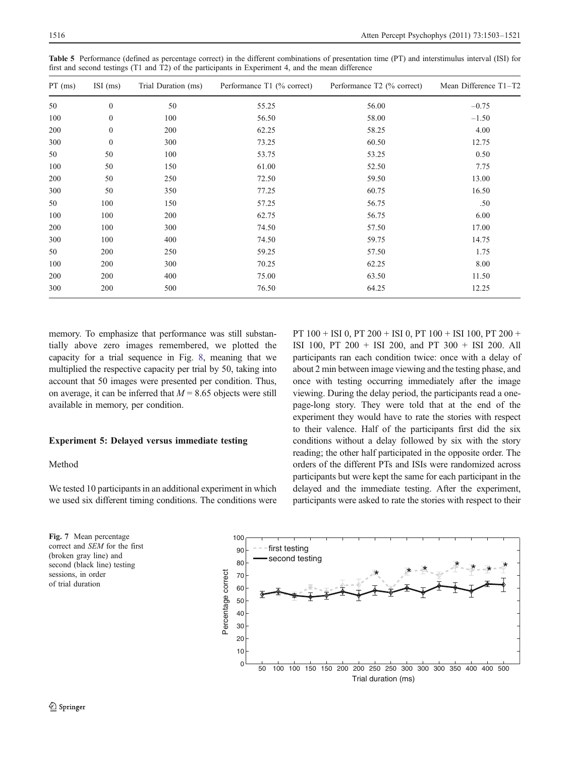| $PT$ (ms) | $ISI$ (ms)       | Trial Duration (ms) | Performance T1 (% correct) | Performance T2 (% correct) | Mean Difference T1-T2 |
|-----------|------------------|---------------------|----------------------------|----------------------------|-----------------------|
| 50        | $\boldsymbol{0}$ | 50                  | 55.25                      | 56.00                      | $-0.75$               |
| 100       | $\boldsymbol{0}$ | 100                 | 56.50                      | 58.00                      | $-1.50$               |
| 200       | $\boldsymbol{0}$ | 200                 | 62.25                      | 58.25                      | 4.00                  |
| 300       | $\boldsymbol{0}$ | 300                 | 73.25                      | 60.50                      | 12.75                 |
| 50        | 50               | 100                 | 53.75                      | 53.25                      | 0.50                  |
| 100       | 50               | 150                 | 61.00                      | 52.50                      | 7.75                  |
| 200       | 50               | 250                 | 72.50                      | 59.50                      | 13.00                 |
| 300       | 50               | 350                 | 77.25                      | 60.75                      | 16.50                 |
| 50        | 100              | 150                 | 57.25                      | 56.75                      | .50                   |
| 100       | 100              | 200                 | 62.75                      | 56.75                      | 6.00                  |
| 200       | 100              | 300                 | 74.50                      | 57.50                      | 17.00                 |
| 300       | 100              | 400                 | 74.50                      | 59.75                      | 14.75                 |
| 50        | 200              | 250                 | 59.25                      | 57.50                      | 1.75                  |
| 100       | 200              | 300                 | 70.25                      | 62.25                      | 8.00                  |
| 200       | 200              | 400                 | 75.00                      | 63.50                      | 11.50                 |
| 300       | 200              | 500                 | 76.50                      | 64.25                      | 12.25                 |

Table 5 Performance (defined as percentage correct) in the different combinations of presentation time (PT) and interstimulus interval (ISI) for first and second testings (T1 and T2) of the participants in Experiment 4, and the mean difference

memory. To emphasize that performance was still substantially above zero images remembered, we plotted the capacity for a trial sequence in Fig. [8](#page-14-0), meaning that we multiplied the respective capacity per trial by 50, taking into account that 50 images were presented per condition. Thus, on average, it can be inferred that  $M = 8.65$  objects were still available in memory, per condition.

# Experiment 5: Delayed versus immediate testing

# Method

We tested 10 participants in an additional experiment in which we used six different timing conditions. The conditions were

<span id="page-13-0"></span>Fig. 7 Mean percentage correct and SEM for the first (broken gray line) and second (black line) testing sessions, in order of trial duration



PT 100 + ISI 0, PT 200 + ISI 0, PT 100 + ISI 100, PT 200 + ISI 100, PT 200 + ISI 200, and PT 300 + ISI 200. All participants ran each condition twice: once with a delay of about 2 min between image viewing and the testing phase, and once with testing occurring immediately after the image viewing. During the delay period, the participants read a onepage-long story. They were told that at the end of the experiment they would have to rate the stories with respect to their valence. Half of the participants first did the six conditions without a delay followed by six with the story reading; the other half participated in the opposite order. The orders of the different PTs and ISIs were randomized across participants but were kept the same for each participant in the delayed and the immediate testing. After the experiment, participants were asked to rate the stories with respect to their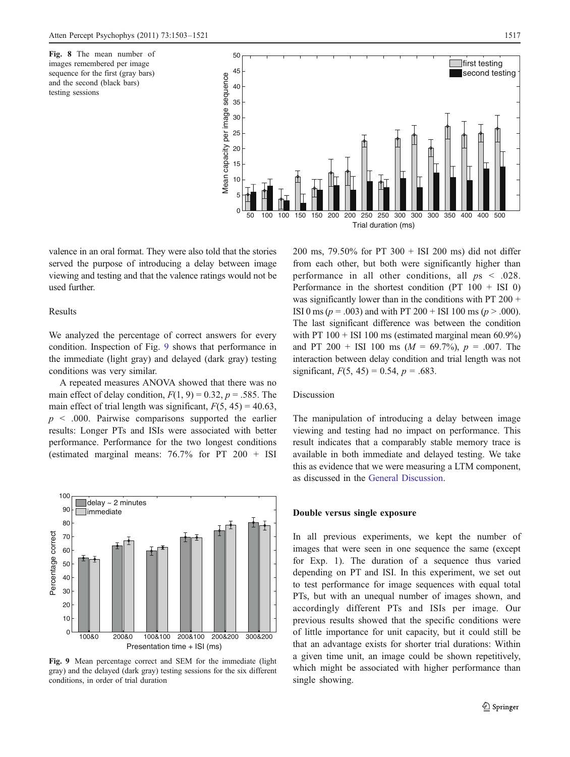Fig. 8 The mean number of images remembered per image sequence for the first (gray bars) and the second (black bars) testing sessions



valence in an oral format. They were also told that the stories served the purpose of introducing a delay between image viewing and testing and that the valence ratings would not be used further.

# Results

We analyzed the percentage of correct answers for every condition. Inspection of Fig. [9](#page-14-0) shows that performance in the immediate (light gray) and delayed (dark gray) testing conditions was very similar.

A repeated measures ANOVA showed that there was no main effect of delay condition,  $F(1, 9) = 0.32$ ,  $p = .585$ . The main effect of trial length was significant,  $F(5, 45) = 40.63$ ,  $p \leq 0.00$ . Pairwise comparisons supported the earlier results: Longer PTs and ISIs were associated with better performance. Performance for the two longest conditions (estimated marginal means: 76.7% for PT 200 + ISI



<span id="page-14-0"></span>Fig. 9 Mean percentage correct and SEM for the immediate (light gray) and the delayed (dark gray) testing sessions for the six different conditions, in order of trial duration

200 ms, 79.50% for PT 300 + ISI 200 ms) did not differ from each other, but both were significantly higher than performance in all other conditions, all  $ps < .028$ . Performance in the shortest condition (PT  $100 + ISI$  0) was significantly lower than in the conditions with  $PT 200 +$ ISI 0 ms ( $p = .003$ ) and with PT 200 + ISI 100 ms ( $p > .000$ ). The last significant difference was between the condition with PT  $100 + ISI$  100 ms (estimated marginal mean  $60.9\%$ ) and PT 200 + ISI 100 ms ( $M = 69.7\%$ ),  $p = .007$ . The interaction between delay condition and trial length was not significant,  $F(5, 45) = 0.54$ ,  $p = .683$ .

## Discussion

The manipulation of introducing a delay between image viewing and testing had no impact on performance. This result indicates that a comparably stable memory trace is available in both immediate and delayed testing. We take this as evidence that we were measuring a LTM component, as discussed in the [General Discussion](#page-16-0).

# Double versus single exposure

In all previous experiments, we kept the number of images that were seen in one sequence the same (except for Exp. 1). The duration of a sequence thus varied depending on PT and ISI. In this experiment, we set out to test performance for image sequences with equal total PTs, but with an unequal number of images shown, and accordingly different PTs and ISIs per image. Our previous results showed that the specific conditions were of little importance for unit capacity, but it could still be that an advantage exists for shorter trial durations: Within a given time unit, an image could be shown repetitively, which might be associated with higher performance than single showing.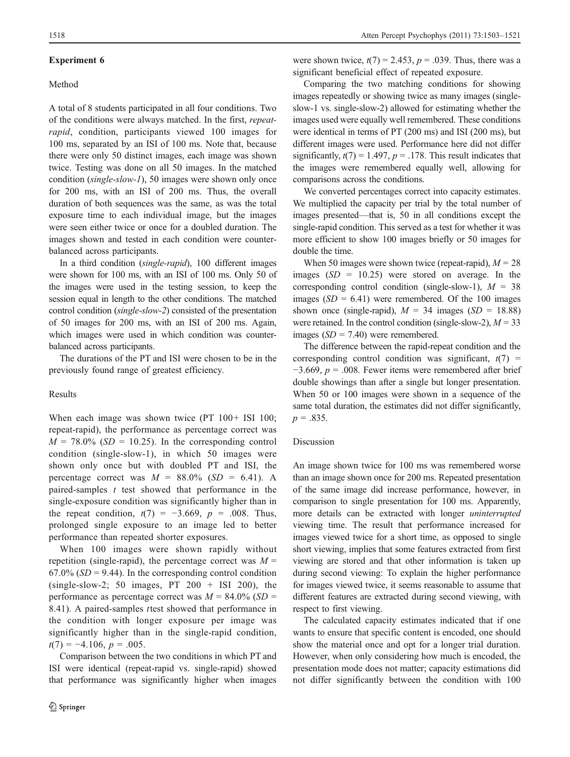## Experiment 6

# Method

A total of 8 students participated in all four conditions. Two of the conditions were always matched. In the first, repeatrapid, condition, participants viewed 100 images for 100 ms, separated by an ISI of 100 ms. Note that, because there were only 50 distinct images, each image was shown twice. Testing was done on all 50 images. In the matched condition (single-slow-1), 50 images were shown only once for 200 ms, with an ISI of 200 ms. Thus, the overall duration of both sequences was the same, as was the total exposure time to each individual image, but the images were seen either twice or once for a doubled duration. The images shown and tested in each condition were counterbalanced across participants.

In a third condition (single-rapid), 100 different images were shown for 100 ms, with an ISI of 100 ms. Only 50 of the images were used in the testing session, to keep the session equal in length to the other conditions. The matched control condition (single-slow-2) consisted of the presentation of 50 images for 200 ms, with an ISI of 200 ms. Again, which images were used in which condition was counterbalanced across participants.

The durations of the PT and ISI were chosen to be in the previously found range of greatest efficiency.

## Results

When each image was shown twice (PT  $100+$  ISI  $100$ ; repeat-rapid), the performance as percentage correct was  $M = 78.0\%$  (SD = 10.25). In the corresponding control condition (single-slow-1), in which 50 images were shown only once but with doubled PT and ISI, the percentage correct was  $M = 88.0\%$  (SD = 6.41). A paired-samples  $t$  test showed that performance in the single-exposure condition was significantly higher than in the repeat condition,  $t(7) = -3.669$ ,  $p = .008$ . Thus, prolonged single exposure to an image led to better performance than repeated shorter exposures.

When 100 images were shown rapidly without repetition (single-rapid), the percentage correct was  $M =$  $67.0\%$  (SD = 9.44). In the corresponding control condition (single-slow-2; 50 images,  $PT$  200 + ISI 200), the performance as percentage correct was  $M = 84.0\%$  (SD = 8.41). A paired-samples ttest showed that performance in the condition with longer exposure per image was significantly higher than in the single-rapid condition,  $t(7) = -4.106, p = .005.$ 

Comparison between the two conditions in which PT and ISI were identical (repeat-rapid vs. single-rapid) showed that performance was significantly higher when images

were shown twice,  $t(7) = 2.453$ ,  $p = .039$ . Thus, there was a significant beneficial effect of repeated exposure.

Comparing the two matching conditions for showing images repeatedly or showing twice as many images (singleslow-1 vs. single-slow-2) allowed for estimating whether the images used were equally well remembered. These conditions were identical in terms of PT (200 ms) and ISI (200 ms), but different images were used. Performance here did not differ significantly,  $t(7) = 1.497$ ,  $p = .178$ . This result indicates that the images were remembered equally well, allowing for comparisons across the conditions.

We converted percentages correct into capacity estimates. We multiplied the capacity per trial by the total number of images presented—that is, 50 in all conditions except the single-rapid condition. This served as a test for whether it was more efficient to show 100 images briefly or 50 images for double the time.

When 50 images were shown twice (repeat-rapid),  $M = 28$ images  $(SD = 10.25)$  were stored on average. In the corresponding control condition (single-slow-1),  $M = 38$ images  $(SD = 6.41)$  were remembered. Of the 100 images shown once (single-rapid),  $M = 34$  images (SD = 18.88) were retained. In the control condition (single-slow-2),  $M = 33$ images  $(SD = 7.40)$  were remembered.

The difference between the rapid-repeat condition and the corresponding control condition was significant,  $t(7)$  =  $-3.669$ ,  $p = .008$ . Fewer items were remembered after brief double showings than after a single but longer presentation. When 50 or 100 images were shown in a sequence of the same total duration, the estimates did not differ significantly,  $p = .835$ .

# Discussion

An image shown twice for 100 ms was remembered worse than an image shown once for 200 ms. Repeated presentation of the same image did increase performance, however, in comparison to single presentation for 100 ms. Apparently, more details can be extracted with longer uninterrupted viewing time. The result that performance increased for images viewed twice for a short time, as opposed to single short viewing, implies that some features extracted from first viewing are stored and that other information is taken up during second viewing: To explain the higher performance for images viewed twice, it seems reasonable to assume that different features are extracted during second viewing, with respect to first viewing.

The calculated capacity estimates indicated that if one wants to ensure that specific content is encoded, one should show the material once and opt for a longer trial duration. However, when only considering how much is encoded, the presentation mode does not matter; capacity estimations did not differ significantly between the condition with 100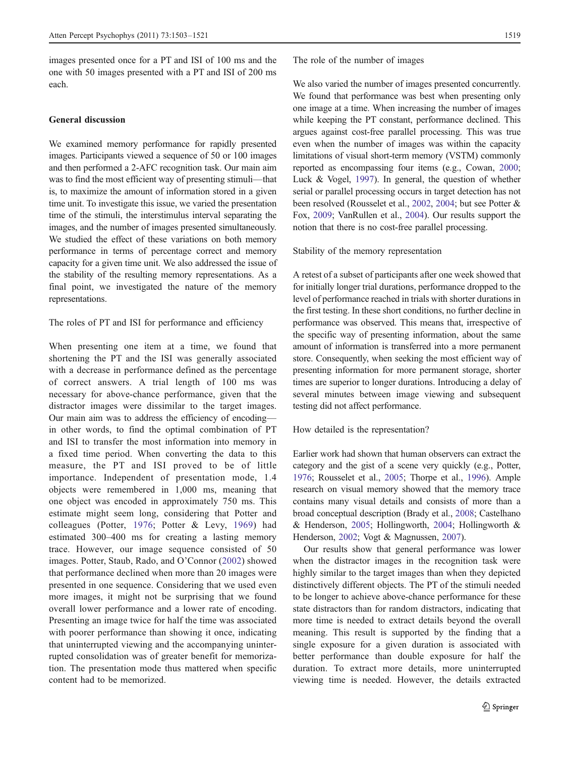images presented once for a PT and ISI of 100 ms and the one with 50 images presented with a PT and ISI of 200 ms each.

# General discussion

We examined memory performance for rapidly presented images. Participants viewed a sequence of 50 or 100 images and then performed a 2-AFC recognition task. Our main aim was to find the most efficient way of presenting stimuli—that is, to maximize the amount of information stored in a given time unit. To investigate this issue, we varied the presentation time of the stimuli, the interstimulus interval separating the images, and the number of images presented simultaneously. We studied the effect of these variations on both memory performance in terms of percentage correct and memory capacity for a given time unit. We also addressed the issue of the stability of the resulting memory representations. As a final point, we investigated the nature of the memory representations.

# The roles of PT and ISI for performance and efficiency

When presenting one item at a time, we found that shortening the PT and the ISI was generally associated with a decrease in performance defined as the percentage of correct answers. A trial length of 100 ms was necessary for above-chance performance, given that the distractor images were dissimilar to the target images. Our main aim was to address the efficiency of encoding in other words, to find the optimal combination of PT and ISI to transfer the most information into memory in a fixed time period. When converting the data to this measure, the PT and ISI proved to be of little importance. Independent of presentation mode, 1.4 objects were remembered in 1,000 ms, meaning that one object was encoded in approximately 750 ms. This estimate might seem long, considering that Potter and colleagues (Potter, [1976;](#page-18-0) Potter & Levy, [1969\)](#page-18-0) had estimated 300–400 ms for creating a lasting memory trace. However, our image sequence consisted of 50 images. Potter, Staub, Rado, and O'Connor [\(2002](#page-18-0)) showed that performance declined when more than 20 images were presented in one sequence. Considering that we used even more images, it might not be surprising that we found overall lower performance and a lower rate of encoding. Presenting an image twice for half the time was associated with poorer performance than showing it once, indicating that uninterrupted viewing and the accompanying uninterrupted consolidation was of greater benefit for memorization. The presentation mode thus mattered when specific content had to be memorized.

The role of the number of images

We also varied the number of images presented concurrently. We found that performance was best when presenting only one image at a time. When increasing the number of images while keeping the PT constant, performance declined. This argues against cost-free parallel processing. This was true even when the number of images was within the capacity limitations of visual short-term memory (VSTM) commonly reported as encompassing four items (e.g., Cowan, [2000;](#page-17-0) Luck & Vogel, [1997\)](#page-18-0). In general, the question of whether serial or parallel processing occurs in target detection has not been resolved (Rousselet et al., [2002](#page-18-0), [2004](#page-18-0); but see Potter & Fox, [2009;](#page-18-0) VanRullen et al., [2004](#page-18-0)). Our results support the notion that there is no cost-free parallel processing.

#### Stability of the memory representation

A retest of a subset of participants after one week showed that for initially longer trial durations, performance dropped to the level of performance reached in trials with shorter durations in the first testing. In these short conditions, no further decline in performance was observed. This means that, irrespective of the specific way of presenting information, about the same amount of information is transferred into a more permanent store. Consequently, when seeking the most efficient way of presenting information for more permanent storage, shorter times are superior to longer durations. Introducing a delay of several minutes between image viewing and subsequent testing did not affect performance.

# How detailed is the representation?

Earlier work had shown that human observers can extract the category and the gist of a scene very quickly (e.g., Potter, [1976;](#page-18-0) Rousselet et al., [2005;](#page-18-0) Thorpe et al., [1996\)](#page-18-0). Ample research on visual memory showed that the memory trace contains many visual details and consists of more than a broad conceptual description (Brady et al., [2008;](#page-17-0) Castelhano & Henderson, [2005;](#page-17-0) Hollingworth, [2004;](#page-18-0) Hollingworth & Henderson, [2002;](#page-18-0) Vogt & Magnussen, [2007\)](#page-18-0).

<span id="page-16-0"></span>Our results show that general performance was lower when the distractor images in the recognition task were highly similar to the target images than when they depicted distinctively different objects. The PT of the stimuli needed to be longer to achieve above-chance performance for these state distractors than for random distractors, indicating that more time is needed to extract details beyond the overall meaning. This result is supported by the finding that a single exposure for a given duration is associated with better performance than double exposure for half the duration. To extract more details, more uninterrupted viewing time is needed. However, the details extracted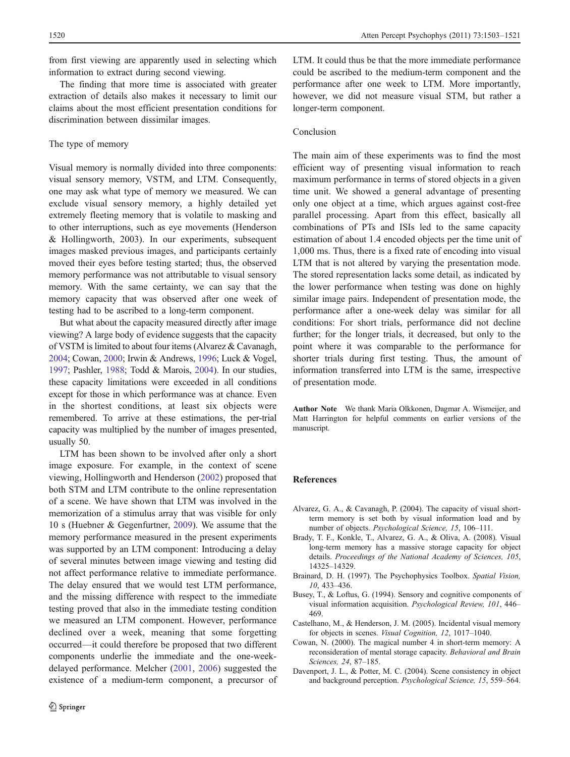from first viewing are apparently used in selecting which information to extract during second viewing.

The finding that more time is associated with greater extraction of details also makes it necessary to limit our claims about the most efficient presentation conditions for discrimination between dissimilar images.

#### The type of memory

Visual memory is normally divided into three components: visual sensory memory, VSTM, and LTM. Consequently, one may ask what type of memory we measured. We can exclude visual sensory memory, a highly detailed yet extremely fleeting memory that is volatile to masking and to other interruptions, such as eye movements (Henderson & Hollingworth, 2003). In our experiments, subsequent images masked previous images, and participants certainly moved their eyes before testing started; thus, the observed memory performance was not attributable to visual sensory memory. With the same certainty, we can say that the memory capacity that was observed after one week of testing had to be ascribed to a long-term component.

But what about the capacity measured directly after image viewing? A large body of evidence suggests that the capacity of VSTM is limited to about four items (Alvarez & Cavanagh, [2004;](#page-17-0) Cowan, [2000](#page-17-0); Irwin & Andrews, [1996](#page-18-0); Luck & Vogel, [1997;](#page-18-0) Pashler, [1988](#page-18-0); Todd & Marois, [2004](#page-18-0)). In our studies, these capacity limitations were exceeded in all conditions except for those in which performance was at chance. Even in the shortest conditions, at least six objects were remembered. To arrive at these estimations, the per-trial capacity was multiplied by the number of images presented, usually 50.

LTM has been shown to be involved after only a short image exposure. For example, in the context of scene viewing, Hollingworth and Henderson ([2002\)](#page-18-0) proposed that both STM and LTM contribute to the online representation of a scene. We have shown that LTM was involved in the memorization of a stimulus array that was visible for only 10 s (Huebner & Gegenfurtner, [2009](#page-18-0)). We assume that the memory performance measured in the present experiments was supported by an LTM component: Introducing a delay of several minutes between image viewing and testing did not affect performance relative to immediate performance. The delay ensured that we would test LTM performance, and the missing difference with respect to the immediate testing proved that also in the immediate testing condition we measured an LTM component. However, performance declined over a week, meaning that some forgetting occurred—it could therefore be proposed that two different components underlie the immediate and the one-weekdelayed performance. Melcher [\(2001](#page-18-0), [2006](#page-18-0)) suggested the existence of a medium-term component, a precursor of

LTM. It could thus be that the more immediate performance could be ascribed to the medium-term component and the performance after one week to LTM. More importantly, however, we did not measure visual STM, but rather a longer-term component.

# Conclusion

The main aim of these experiments was to find the most efficient way of presenting visual information to reach maximum performance in terms of stored objects in a given time unit. We showed a general advantage of presenting only one object at a time, which argues against cost-free parallel processing. Apart from this effect, basically all combinations of PTs and ISIs led to the same capacity estimation of about 1.4 encoded objects per the time unit of 1,000 ms. Thus, there is a fixed rate of encoding into visual LTM that is not altered by varying the presentation mode. The stored representation lacks some detail, as indicated by the lower performance when testing was done on highly similar image pairs. Independent of presentation mode, the performance after a one-week delay was similar for all conditions: For short trials, performance did not decline further; for the longer trials, it decreased, but only to the point where it was comparable to the performance for shorter trials during first testing. Thus, the amount of information transferred into LTM is the same, irrespective of presentation mode.

Author Note We thank Maria Olkkonen, Dagmar A. Wismeijer, and Matt Harrington for helpful comments on earlier versions of the manuscript.

# References

- Alvarez, G. A., & Cavanagh, P. (2004). The capacity of visual shortterm memory is set both by visual information load and by number of objects. Psychological Science, 15, 106–111.
- Brady, T. F., Konkle, T., Alvarez, G. A., & Oliva, A. (2008). Visual long-term memory has a massive storage capacity for object details. Proceedings of the National Academy of Sciences, 105, 14325–14329.
- Brainard, D. H. (1997). The Psychophysics Toolbox. Spatial Vision, 10, 433–436.
- Busey, T., & Loftus, G. (1994). Sensory and cognitive components of visual information acquisition. Psychological Review, 101, 446– 469.
- Castelhano, M., & Henderson, J. M. (2005). Incidental visual memory for objects in scenes. *Visual Cognition*, 12, 1017–1040.
- Cowan, N. (2000). The magical number 4 in short-term memory: A reconsideration of mental storage capacity. Behavioral and Brain Sciences, 24, 87–185.
- <span id="page-17-0"></span>Davenport, J. L., & Potter, M. C. (2004). Scene consistency in object and background perception. Psychological Science, 15, 559–564.